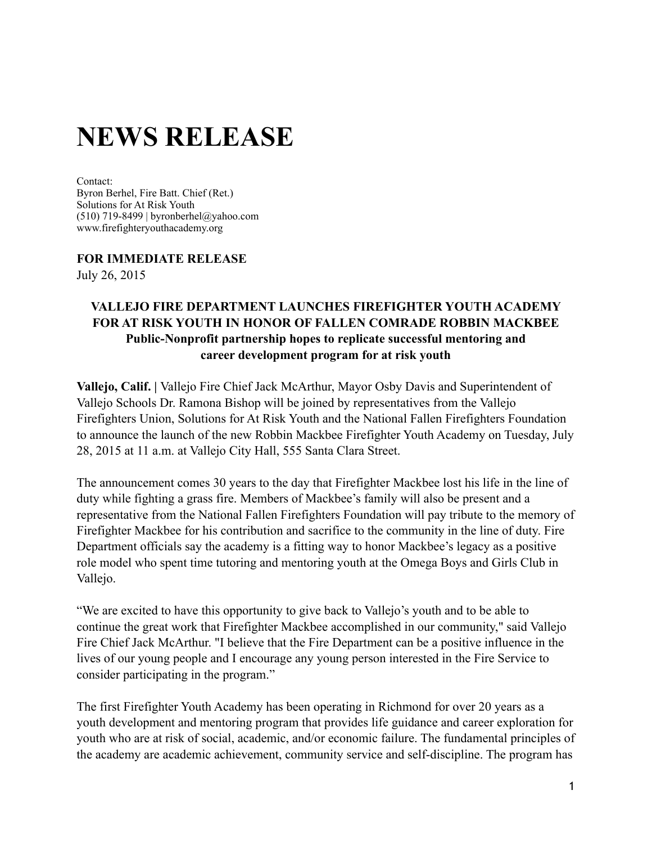## **NEWS RELEASE**

Contact:

Byron Berhel, Fire Batt. Chief (Ret.) Solutions for At Risk Youth (510) 719-8499 | [byronberhel@yahoo.com](mailto:byronberhel@yahoo.com) [www.firefighteryoutha](http://www.firefighteryouth)cademy.org

## **FOR IMMEDIATE RELEASE**

July 26, 2015

## **VALLEJO FIRE DEPARTMENT LAUNCHES FIREFIGHTER YOUTH ACADEMY FOR AT RISK YOUTH IN HONOR OF FALLEN COMRADE ROBBIN MACKBEE Public-Nonprofit partnership hopes to replicate successful mentoring and career development program for at risk youth**

**Vallejo, Calif. |** Vallejo Fire Chief Jack McArthur, Mayor Osby Davis and Superintendent of Vallejo Schools Dr. Ramona Bishop will be joined by representatives from the Vallejo Firefighters Union, Solutions for At Risk Youth and the National Fallen Firefighters Foundation to announce the launch of the new Robbin Mackbee Firefighter Youth Academy on Tuesday, July 28, 2015 at 11 a.m. at Vallejo City Hall, 555 Santa Clara Street.

The announcement comes 30 years to the day that Firefighter Mackbee lost his life in the line of duty while fighting a grass fire. Members of Mackbee's family will also be present and a representative from the National Fallen Firefighters Foundation will pay tribute to the memory of Firefighter Mackbee for his contribution and sacrifice to the community in the line of duty. Fire Department officials say the academy is a fitting way to honor Mackbee's legacy as a positive role model who spent time tutoring and mentoring youth at the Omega Boys and Girls Club in Vallejo.

"We are excited to have this opportunity to give back to Vallejo's youth and to be able to continue the great work that Firefighter Mackbee accomplished in our community," said Vallejo Fire Chief Jack McArthur. "I believe that the Fire Department can be a positive influence in the lives of our young people and I encourage any young person interested in the Fire Service to consider participating in the program."

The first Firefighter Youth Academy has been operating in Richmond for over 20 years as a youth development and mentoring program that provides life guidance and career exploration for youth who are at risk of social, academic, and/or economic failure. The fundamental principles of the academy are academic achievement, community service and self-discipline. The program has